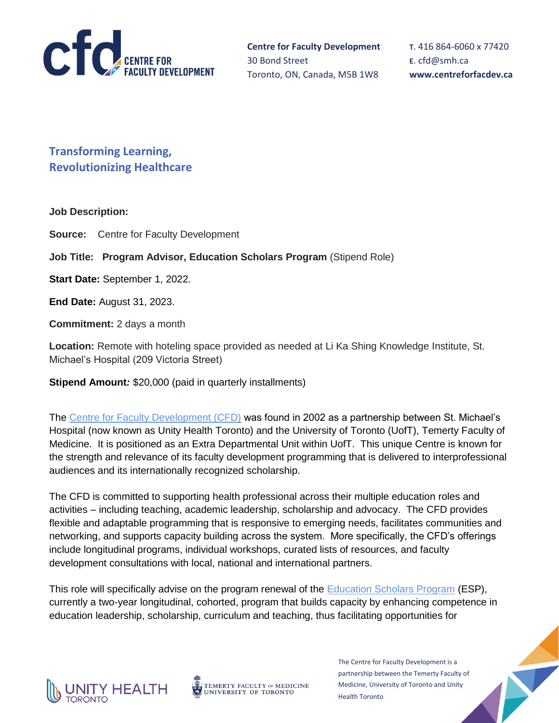

**T**. 416 864-6060 x 77420 **E**. [cfd@smh.ca](mailto:cfd@smh.ca) **www.centreforfacdev.ca**

**Transforming Learning, Revolutionizing Healthcare**

### **Job Description:**

**Source:** Centre for Faculty Development

**Job Title: Program Advisor, Education Scholars Program** (Stipend Role)

**Start Date:** September 1, 2022.

**End Date:** August 31, 2023.

**Commitment:** 2 days a month

**Location:** Remote with hoteling space provided as needed at Li Ka Shing Knowledge Institute, St. Michael's Hospital (209 Victoria Street)

**Stipend Amount***:* \$20,000 (paid in quarterly installments)

The [Centre for Faculty Development \(CFD\)](https://centreforfacdev.ca/) was found in 2002 as a partnership between St. Michael's Hospital (now known as Unity Health Toronto) and the University of Toronto (UofT), Temerty Faculty of Medicine. It is positioned as an Extra Departmental Unit within UofT. This unique Centre is known for the strength and relevance of its faculty development programming that is delivered to interprofessional audiences and its internationally recognized scholarship.

The CFD is committed to supporting health professional across their multiple education roles and activities – including teaching, academic leadership, scholarship and advocacy. The CFD provides flexible and adaptable programming that is responsive to emerging needs, facilitates communities and networking, and supports capacity building across the system. More specifically, the CFD's offerings include longitudinal programs, individual workshops, curated lists of resources, and faculty development consultations with local, national and international partners.

This role will specifically advise on the program renewal of the [Education Scholars Program](https://centreforfacdev.ca/education-scholars-program/) (ESP), currently a two-year longitudinal, cohorted, program that builds capacity by enhancing competence in education leadership, scholarship, curriculum and teaching, thus facilitating opportunities for



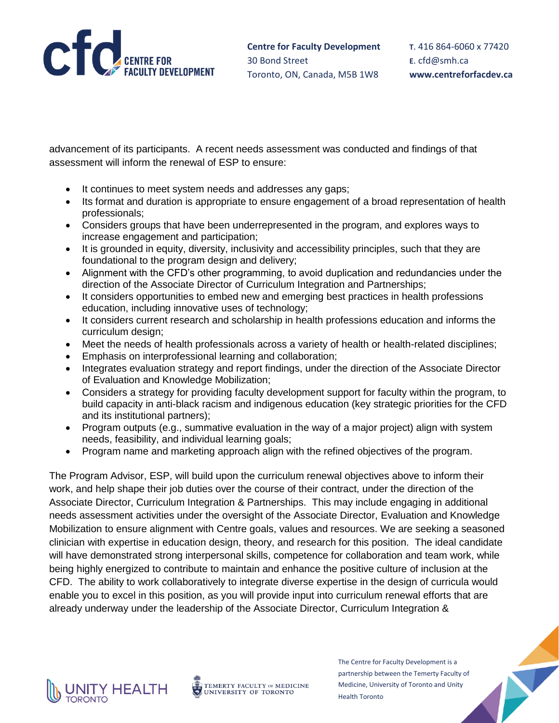

advancement of its participants. A recent needs assessment was conducted and findings of that assessment will inform the renewal of ESP to ensure:

- It continues to meet system needs and addresses any gaps;
- Its format and duration is appropriate to ensure engagement of a broad representation of health professionals;
- Considers groups that have been underrepresented in the program, and explores ways to increase engagement and participation;
- It is grounded in equity, diversity, inclusivity and accessibility principles, such that they are foundational to the program design and delivery;
- Alignment with the CFD's other programming, to avoid duplication and redundancies under the direction of the Associate Director of Curriculum Integration and Partnerships;
- It considers opportunities to embed new and emerging best practices in health professions education, including innovative uses of technology;
- It considers current research and scholarship in health professions education and informs the curriculum design;
- Meet the needs of health professionals across a variety of health or health-related disciplines;
- Emphasis on interprofessional learning and collaboration;
- Integrates evaluation strategy and report findings, under the direction of the Associate Director of Evaluation and Knowledge Mobilization;
- Considers a strategy for providing faculty development support for faculty within the program, to build capacity in anti-black racism and indigenous education (key strategic priorities for the CFD and its institutional partners);
- Program outputs (e.g., summative evaluation in the way of a major project) align with system needs, feasibility, and individual learning goals;
- Program name and marketing approach align with the refined objectives of the program.

The Program Advisor, ESP, will build upon the curriculum renewal objectives above to inform their work, and help shape their job duties over the course of their contract, under the direction of the Associate Director, Curriculum Integration & Partnerships. This may include engaging in additional needs assessment activities under the oversight of the Associate Director, Evaluation and Knowledge Mobilization to ensure alignment with Centre goals, values and resources. We are seeking a seasoned clinician with expertise in education design, theory, and research for this position. The ideal candidate will have demonstrated strong interpersonal skills, competence for collaboration and team work, while being highly energized to contribute to maintain and enhance the positive culture of inclusion at the CFD. The ability to work collaboratively to integrate diverse expertise in the design of curricula would enable you to excel in this position, as you will provide input into curriculum renewal efforts that are already underway under the leadership of the Associate Director, Curriculum Integration &



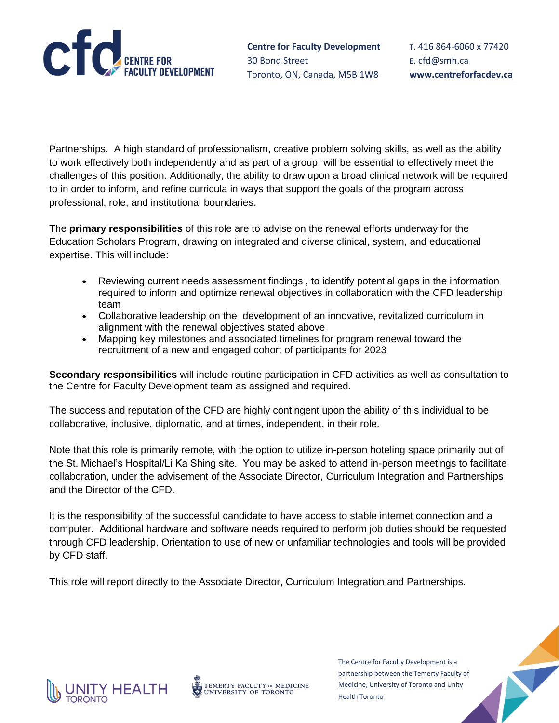

**T**. 416 864-6060 x 77420 **E**. [cfd@smh.ca](mailto:cfd@smh.ca) **www.centreforfacdev.ca**

Partnerships. A high standard of professionalism, creative problem solving skills, as well as the ability to work effectively both independently and as part of a group, will be essential to effectively meet the challenges of this position. Additionally, the ability to draw upon a broad clinical network will be required to in order to inform, and refine curricula in ways that support the goals of the program across professional, role, and institutional boundaries.

The **primary responsibilities** of this role are to advise on the renewal efforts underway for the Education Scholars Program, drawing on integrated and diverse clinical, system, and educational expertise. This will include:

- Reviewing current needs assessment findings , to identify potential gaps in the information required to inform and optimize renewal objectives in collaboration with the CFD leadership team
- Collaborative leadership on the development of an innovative, revitalized curriculum in alignment with the renewal objectives stated above
- Mapping key milestones and associated timelines for program renewal toward the recruitment of a new and engaged cohort of participants for 2023

**Secondary responsibilities** will include routine participation in CFD activities as well as consultation to the Centre for Faculty Development team as assigned and required.

The success and reputation of the CFD are highly contingent upon the ability of this individual to be collaborative, inclusive, diplomatic, and at times, independent, in their role.

Note that this role is primarily remote, with the option to utilize in-person hoteling space primarily out of the St. Michael's Hospital/Li Ka Shing site. You may be asked to attend in-person meetings to facilitate collaboration, under the advisement of the Associate Director, Curriculum Integration and Partnerships and the Director of the CFD.

It is the responsibility of the successful candidate to have access to stable internet connection and a computer. Additional hardware and software needs required to perform job duties should be requested through CFD leadership. Orientation to use of new or unfamiliar technologies and tools will be provided by CFD staff.

This role will report directly to the Associate Director, Curriculum Integration and Partnerships.



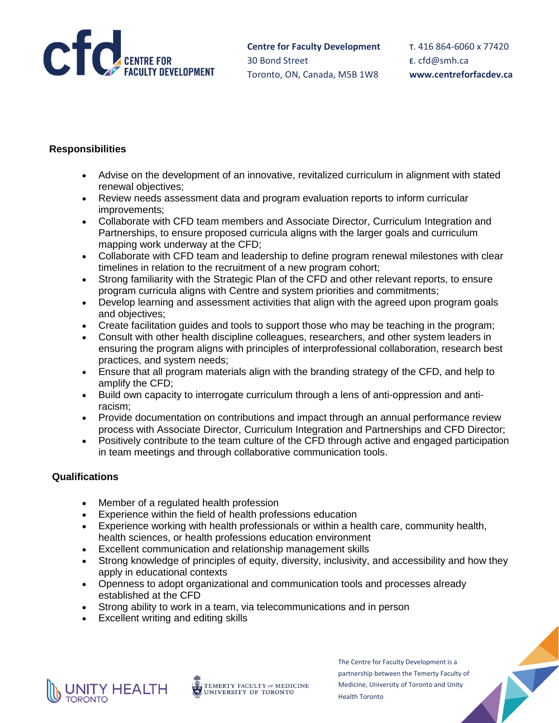

**T**. 416 864-6060 x 77420 **E**. [cfd@smh.ca](mailto:cfd@smh.ca) **www.centreforfacdev.ca**

# **Responsibilities**

- Advise on the development of an innovative, revitalized curriculum in alignment with stated renewal objectives;
- Review needs assessment data and program evaluation reports to inform curricular improvements;
- Collaborate with CFD team members and Associate Director, Curriculum Integration and Partnerships, to ensure proposed curricula aligns with the larger goals and curriculum mapping work underway at the CFD;
- Collaborate with CFD team and leadership to define program renewal milestones with clear timelines in relation to the recruitment of a new program cohort;
- Strong familiarity with the Strategic Plan of the CFD and other relevant reports, to ensure program curricula aligns with Centre and system priorities and commitments;
- Develop learning and assessment activities that align with the agreed upon program goals and objectives;
- Create facilitation guides and tools to support those who may be teaching in the program;
- Consult with other health discipline colleagues, researchers, and other system leaders in ensuring the program aligns with principles of interprofessional collaboration, research best practices, and system needs;
- Ensure that all program materials align with the branding strategy of the CFD, and help to amplify the CFD;
- Build own capacity to interrogate curriculum through a lens of anti-oppression and antiracism;
- Provide documentation on contributions and impact through an annual performance review process with Associate Director, Curriculum Integration and Partnerships and CFD Director;
- Positively contribute to the team culture of the CFD through active and engaged participation in team meetings and through collaborative communication tools.

## **Qualifications**

- Member of a regulated health profession
- Experience within the field of health professions education
- Experience working with health professionals or within a health care, community health, health sciences, or health professions education environment
- Excellent communication and relationship management skills
- Strong knowledge of principles of equity, diversity, inclusivity, and accessibility and how they apply in educational contexts
- Openness to adopt organizational and communication tools and processes already established at the CFD
- Strong ability to work in a team, via telecommunications and in person
- Excellent writing and editing skills